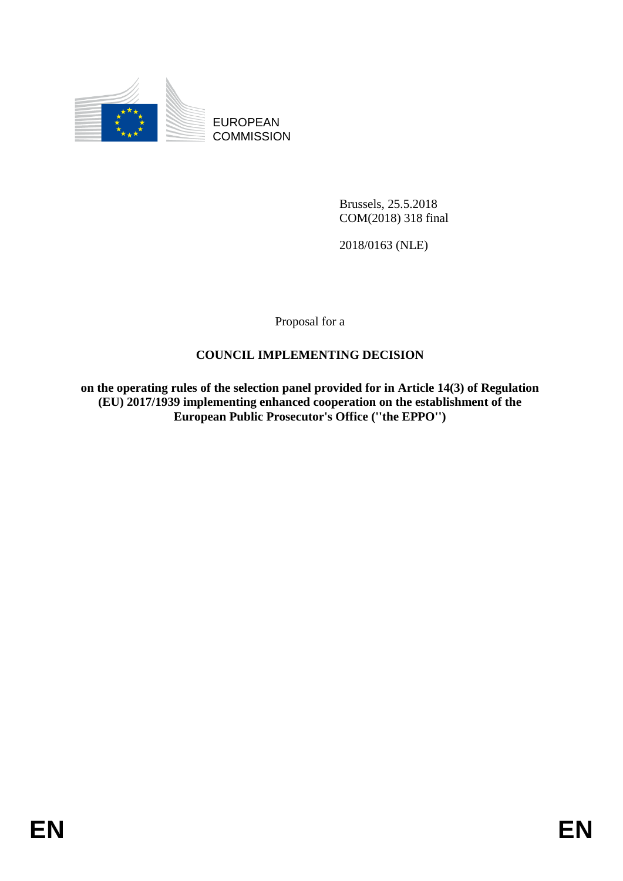

EUROPEAN **COMMISSION** 

> Brussels, 25.5.2018 COM(2018) 318 final

2018/0163 (NLE)

Proposal for a

### **COUNCIL IMPLEMENTING DECISION**

**on the operating rules of the selection panel provided for in Article 14(3) of Regulation (EU) 2017/1939 implementing enhanced cooperation on the establishment of the European Public Prosecutor's Office (''the EPPO'')**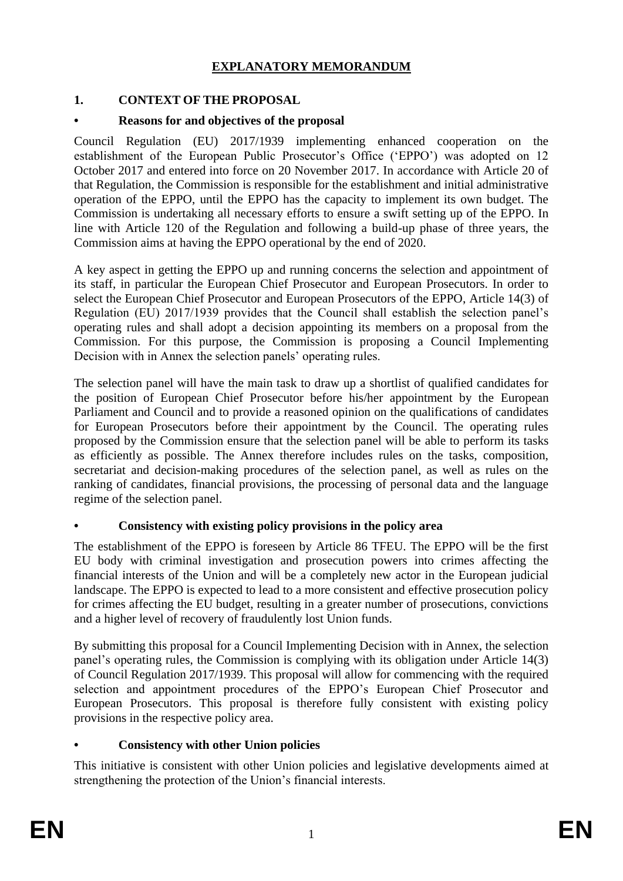### **EXPLANATORY MEMORANDUM**

### **1. CONTEXT OF THE PROPOSAL**

### **• Reasons for and objectives of the proposal**

Council Regulation (EU) 2017/1939 implementing enhanced cooperation on the establishment of the European Public Prosecutor's Office ('EPPO') was adopted on 12 October 2017 and entered into force on 20 November 2017. In accordance with Article 20 of that Regulation, the Commission is responsible for the establishment and initial administrative operation of the EPPO, until the EPPO has the capacity to implement its own budget. The Commission is undertaking all necessary efforts to ensure a swift setting up of the EPPO. In line with Article 120 of the Regulation and following a build-up phase of three years, the Commission aims at having the EPPO operational by the end of 2020.

A key aspect in getting the EPPO up and running concerns the selection and appointment of its staff, in particular the European Chief Prosecutor and European Prosecutors. In order to select the European Chief Prosecutor and European Prosecutors of the EPPO, Article 14(3) of Regulation (EU) 2017/1939 provides that the Council shall establish the selection panel's operating rules and shall adopt a decision appointing its members on a proposal from the Commission. For this purpose, the Commission is proposing a Council Implementing Decision with in Annex the selection panels' operating rules.

The selection panel will have the main task to draw up a shortlist of qualified candidates for the position of European Chief Prosecutor before his/her appointment by the European Parliament and Council and to provide a reasoned opinion on the qualifications of candidates for European Prosecutors before their appointment by the Council. The operating rules proposed by the Commission ensure that the selection panel will be able to perform its tasks as efficiently as possible. The Annex therefore includes rules on the tasks, composition, secretariat and decision-making procedures of the selection panel, as well as rules on the ranking of candidates, financial provisions, the processing of personal data and the language regime of the selection panel.

### **• Consistency with existing policy provisions in the policy area**

The establishment of the EPPO is foreseen by Article 86 TFEU. The EPPO will be the first EU body with criminal investigation and prosecution powers into crimes affecting the financial interests of the Union and will be a completely new actor in the European judicial landscape. The EPPO is expected to lead to a more consistent and effective prosecution policy for crimes affecting the EU budget, resulting in a greater number of prosecutions, convictions and a higher level of recovery of fraudulently lost Union funds.

By submitting this proposal for a Council Implementing Decision with in Annex, the selection panel's operating rules, the Commission is complying with its obligation under Article 14(3) of Council Regulation 2017/1939. This proposal will allow for commencing with the required selection and appointment procedures of the EPPO's European Chief Prosecutor and European Prosecutors. This proposal is therefore fully consistent with existing policy provisions in the respective policy area.

## **• Consistency with other Union policies**

This initiative is consistent with other Union policies and legislative developments aimed at strengthening the protection of the Union's financial interests.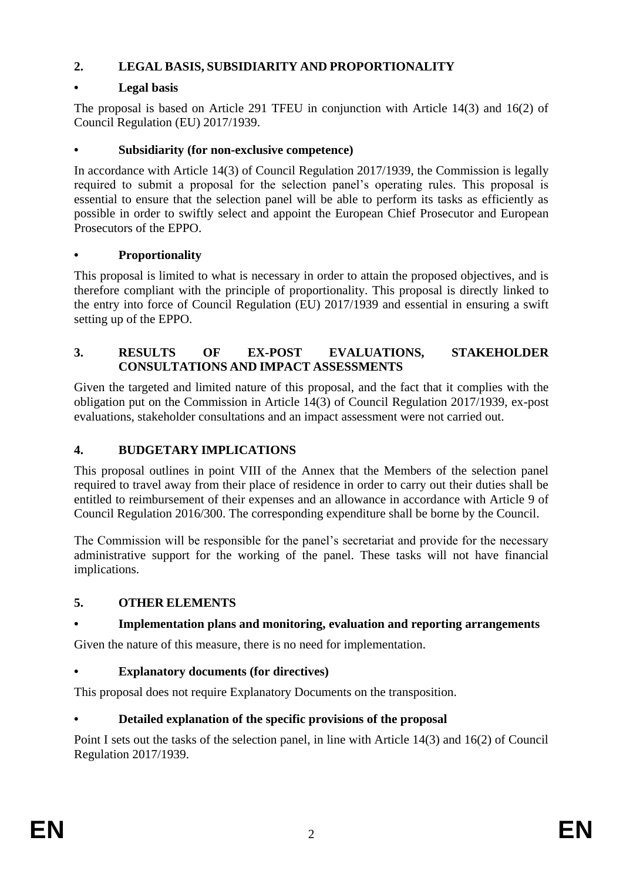## **2. LEGAL BASIS, SUBSIDIARITY AND PROPORTIONALITY**

### **• Legal basis**

The proposal is based on Article 291 TFEU in conjunction with Article 14(3) and 16(2) of Council Regulation (EU) 2017/1939.

### **• Subsidiarity (for non-exclusive competence)**

In accordance with Article 14(3) of Council Regulation 2017/1939, the Commission is legally required to submit a proposal for the selection panel's operating rules. This proposal is essential to ensure that the selection panel will be able to perform its tasks as efficiently as possible in order to swiftly select and appoint the European Chief Prosecutor and European Prosecutors of the EPPO.

## **• Proportionality**

This proposal is limited to what is necessary in order to attain the proposed objectives, and is therefore compliant with the principle of proportionality. This proposal is directly linked to the entry into force of Council Regulation (EU) 2017/1939 and essential in ensuring a swift setting up of the EPPO.

### **3. RESULTS OF EX-POST EVALUATIONS, STAKEHOLDER CONSULTATIONS AND IMPACT ASSESSMENTS**

Given the targeted and limited nature of this proposal, and the fact that it complies with the obligation put on the Commission in Article 14(3) of Council Regulation 2017/1939, ex-post evaluations, stakeholder consultations and an impact assessment were not carried out.

## **4. BUDGETARY IMPLICATIONS**

This proposal outlines in point VIII of the Annex that the Members of the selection panel required to travel away from their place of residence in order to carry out their duties shall be entitled to reimbursement of their expenses and an allowance in accordance with Article 9 of Council Regulation 2016/300. The corresponding expenditure shall be borne by the Council.

The Commission will be responsible for the panel's secretariat and provide for the necessary administrative support for the working of the panel. These tasks will not have financial implications.

## **5. OTHER ELEMENTS**

## **• Implementation plans and monitoring, evaluation and reporting arrangements**

Given the nature of this measure, there is no need for implementation.

## **• Explanatory documents (for directives)**

This proposal does not require Explanatory Documents on the transposition.

## **• Detailed explanation of the specific provisions of the proposal**

Point I sets out the tasks of the selection panel, in line with Article 14(3) and 16(2) of Council Regulation 2017/1939.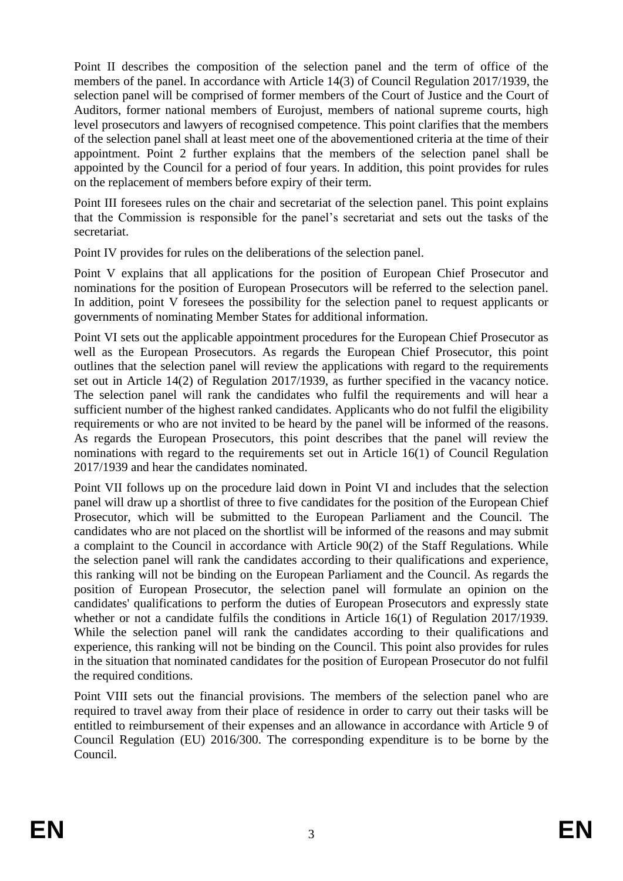Point II describes the composition of the selection panel and the term of office of the members of the panel. In accordance with Article 14(3) of Council Regulation 2017/1939, the selection panel will be comprised of former members of the Court of Justice and the Court of Auditors, former national members of Eurojust, members of national supreme courts, high level prosecutors and lawyers of recognised competence. This point clarifies that the members of the selection panel shall at least meet one of the abovementioned criteria at the time of their appointment. Point 2 further explains that the members of the selection panel shall be appointed by the Council for a period of four years. In addition, this point provides for rules on the replacement of members before expiry of their term.

Point III foresees rules on the chair and secretariat of the selection panel. This point explains that the Commission is responsible for the panel's secretariat and sets out the tasks of the secretariat.

Point IV provides for rules on the deliberations of the selection panel.

Point V explains that all applications for the position of European Chief Prosecutor and nominations for the position of European Prosecutors will be referred to the selection panel. In addition, point V foresees the possibility for the selection panel to request applicants or governments of nominating Member States for additional information.

Point VI sets out the applicable appointment procedures for the European Chief Prosecutor as well as the European Prosecutors. As regards the European Chief Prosecutor, this point outlines that the selection panel will review the applications with regard to the requirements set out in Article 14(2) of Regulation 2017/1939, as further specified in the vacancy notice. The selection panel will rank the candidates who fulfil the requirements and will hear a sufficient number of the highest ranked candidates. Applicants who do not fulfil the eligibility requirements or who are not invited to be heard by the panel will be informed of the reasons. As regards the European Prosecutors, this point describes that the panel will review the nominations with regard to the requirements set out in Article 16(1) of Council Regulation 2017/1939 and hear the candidates nominated.

Point VII follows up on the procedure laid down in Point VI and includes that the selection panel will draw up a shortlist of three to five candidates for the position of the European Chief Prosecutor, which will be submitted to the European Parliament and the Council. The candidates who are not placed on the shortlist will be informed of the reasons and may submit a complaint to the Council in accordance with Article 90(2) of the Staff Regulations. While the selection panel will rank the candidates according to their qualifications and experience, this ranking will not be binding on the European Parliament and the Council. As regards the position of European Prosecutor, the selection panel will formulate an opinion on the candidates' qualifications to perform the duties of European Prosecutors and expressly state whether or not a candidate fulfils the conditions in Article 16(1) of Regulation 2017/1939. While the selection panel will rank the candidates according to their qualifications and experience, this ranking will not be binding on the Council. This point also provides for rules in the situation that nominated candidates for the position of European Prosecutor do not fulfil the required conditions.

Point VIII sets out the financial provisions. The members of the selection panel who are required to travel away from their place of residence in order to carry out their tasks will be entitled to reimbursement of their expenses and an allowance in accordance with Article 9 of Council Regulation (EU) 2016/300. The corresponding expenditure is to be borne by the Council.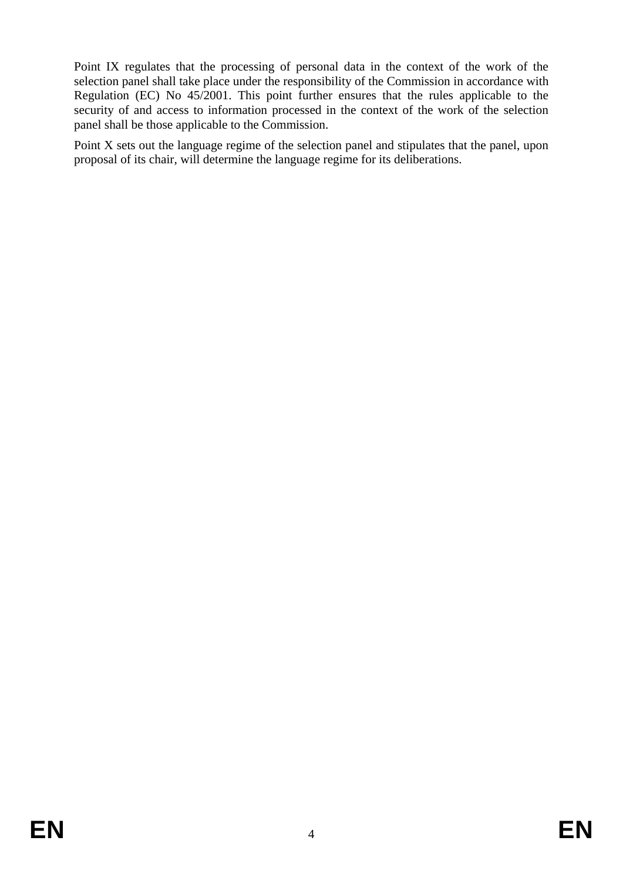Point IX regulates that the processing of personal data in the context of the work of the selection panel shall take place under the responsibility of the Commission in accordance with Regulation (EC) No 45/2001. This point further ensures that the rules applicable to the security of and access to information processed in the context of the work of the selection panel shall be those applicable to the Commission.

Point X sets out the language regime of the selection panel and stipulates that the panel, upon proposal of its chair, will determine the language regime for its deliberations.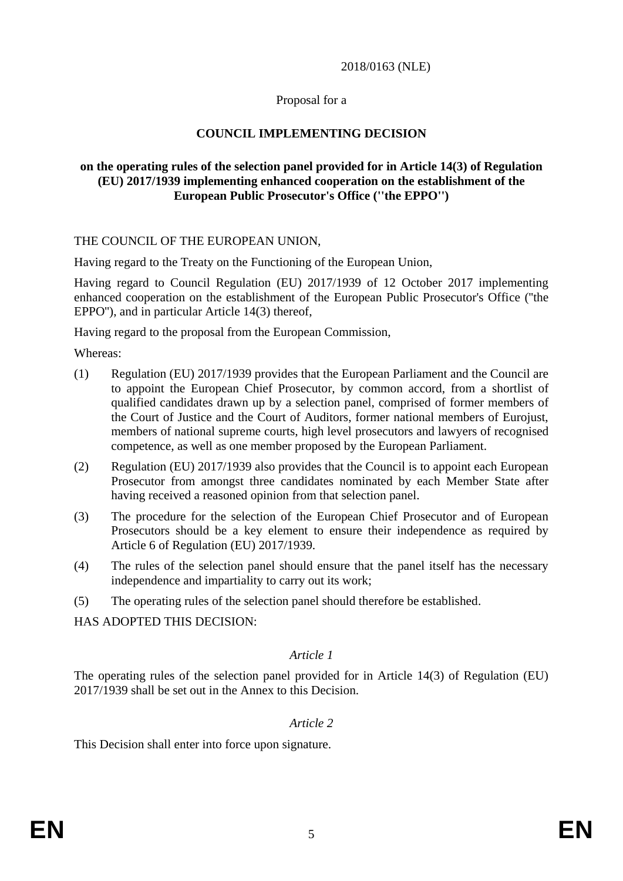#### 2018/0163 (NLE)

#### Proposal for a

### **COUNCIL IMPLEMENTING DECISION**

#### **on the operating rules of the selection panel provided for in Article 14(3) of Regulation (EU) 2017/1939 implementing enhanced cooperation on the establishment of the European Public Prosecutor's Office (''the EPPO'')**

#### THE COUNCIL OF THE EUROPEAN UNION,

Having regard to the Treaty on the Functioning of the European Union,

Having regard to Council Regulation (EU) 2017/1939 of 12 October 2017 implementing enhanced cooperation on the establishment of the European Public Prosecutor's Office (''the EPPO''), and in particular Article 14(3) thereof,

Having regard to the proposal from the European Commission,

Whereas:

- (1) Regulation (EU) 2017/1939 provides that the European Parliament and the Council are to appoint the European Chief Prosecutor, by common accord, from a shortlist of qualified candidates drawn up by a selection panel, comprised of former members of the Court of Justice and the Court of Auditors, former national members of Eurojust, members of national supreme courts, high level prosecutors and lawyers of recognised competence, as well as one member proposed by the European Parliament.
- (2) Regulation (EU) 2017/1939 also provides that the Council is to appoint each European Prosecutor from amongst three candidates nominated by each Member State after having received a reasoned opinion from that selection panel.
- (3) The procedure for the selection of the European Chief Prosecutor and of European Prosecutors should be a key element to ensure their independence as required by Article 6 of Regulation (EU) 2017/1939.
- (4) The rules of the selection panel should ensure that the panel itself has the necessary independence and impartiality to carry out its work;
- (5) The operating rules of the selection panel should therefore be established.

HAS ADOPTED THIS DECISION:

### *Article 1*

The operating rules of the selection panel provided for in Article 14(3) of Regulation (EU) 2017/1939 shall be set out in the Annex to this Decision.

### *Article 2*

This Decision shall enter into force upon signature.